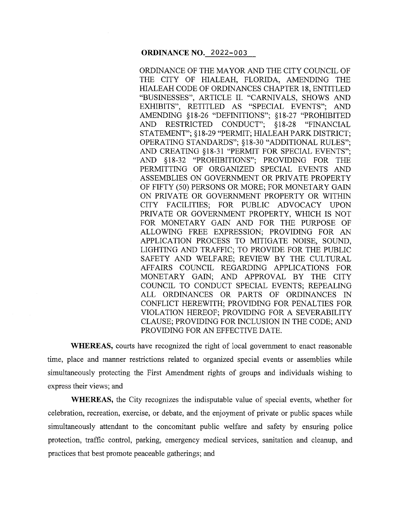ORDINANCE OF THE MAYOR AND THE CITY COUNCIL OF THE CITY OF HIALEAH, FLORIDA, AMENDING THE HIALEAH CODE OF ORDINANCES CHAPTER 18, ENTITLED "BUSINESSES", ARTICLE II. "CARNIVALS, SHOWS AND EXHIBITS'', RETITLED AS "SPECIAL EVENTS"; AND AMENDING § 18-26 "DEFINITIONS"; § 18-27 "PROHIBITED AND RESTRICTED CONDUCT"; §18-28 "FINANCIAL STATEMENT"; § 18-29 "PERMIT; HIALEAH PARK DISTRICT; OPERATING STANDARDS"; §18-30 "ADDITIONAL RULES"; AND CREATING §18-31 "PERMIT FOR SPECIAL EVENTS"; AND §18-32 "PROHIBITIONS"; PROVIDING FOR THE PERMITTING OF ORGANIZED SPECIAL EVENTS AND ASSEMBLIES ON GOVERNMENT OR PRIVATE PROPERTY OF FIFTY (50) PERSONS OR MORE; FOR MONETARY GAIN ON PRIVATE OR GOVERNMENT PROPERTY OR WITHIN CITY FACILITIES; FOR PUBLIC ADVOCACY UPON PRIVATE OR GOVERNMENT PROPERTY, WHICH IS NOT FOR MONETARY GAIN AND FOR THE PURPOSE OF ALLOWING FREE EXPRESSION; PROVIDING FOR AN APPLICATION PROCESS TO MITIGATE NOISE, SOUND, LIGHTING AND TRAFFIC; TO PROVIDE FOR THE PUBLIC SAFETY AND WELFARE; REVIEW BY THE CULTURAL AFFAIRS COUNCIL REGARDING APPLICATIONS FOR MONETARY GAIN; AND APPROVAL BY THE CITY COUNCIL TO CONDUCT SPECIAL EVENTS; REPEALING ALL ORDINANCES OR PARTS OF ORDINANCES IN CONFLICT HEREWITH; PROVIDING FOR PENALTIES FOR VIOLATION HEREOF; PROVIDING FOR A SEVERABILITY CLAUSE; PROVIDING FOR INCLUSION IN THE CODE; AND PROVIDING FOR AN EFFECTIVE DATE.

**WHEREAS,** courts have recognized the right of local government to enact reasonable time, place and manner restrictions related to organized special events or assemblies while simultaneously protecting the First Amendment rights of groups and individuals wishing to express their views; and

**WHEREAS,** the City recognizes the indisputable value of special events, whether for celebration, recreation, exercise, or debate, and the enjoyment of private or public spaces while simultaneously attendant to the concomitant public welfare and safety by ensuring police protection, traffic control, parking, emergency medical services, sanitation and cleanup, and practices that best promote peaceable gatherings; and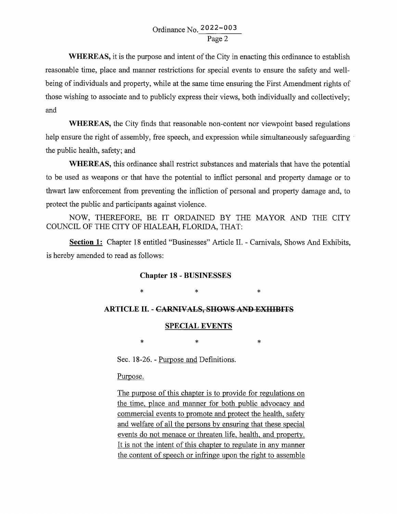**WHEREAS,** it is the purpose and intent of the City in enacting this ordinance to establish reasonable time, place and manner restrictions for special events to ensure the safety and wellbeing of individuals and property, while at the same time ensuring the First Amendment rights of those wishing to associate and to publicly express their views, both individually and collectively; and

**WHEREAS,** the City finds that reasonable non-content nor viewpoint based regulations help ensure the right of assembly, free speech, and expression while simultaneously safeguarding the public health, safety; and

**WHEREAS,** this ordinance shall restrict substances and materials that have the potential to be used as weapons or that have the potential to inflict personal and property damage or to thwart law enforcement from preventing the infliction of personal and property damage and, to protect the public and participants against violence.

NOW, THEREFORE, BE IT ORDAINED BY THE MAYOR AND THE CITY COUNCIL OF THE CITY OF HIALEAH, FLORIDA, THAT:

**Section 1:** Chapter 18 entitled "Businesses" Article II. - Carnivals, Shows And Exhibits, is hereby amended to read as follows:

### **Chapter 18 - BUSINESSES**

\* \* \*

### **ARTICLE II. - CARNIVALS, SHOWS AND EXHIBITS**

#### **SPECIAL EVENTS**

\* \* \*

Sec. 18-26. - Purpose and Definitions.

Purpose.

The purpose of this chapter is to provide for regulations on the time, place and manner for both public advocacy and commercial events to promote and protect the health, safety and welfare of all the persons by ensuring that these special events do not menace or threaten life, health, and property. It is not the intent of this chapter to regulate in any manner the content of speech or infringe upon the right to assemble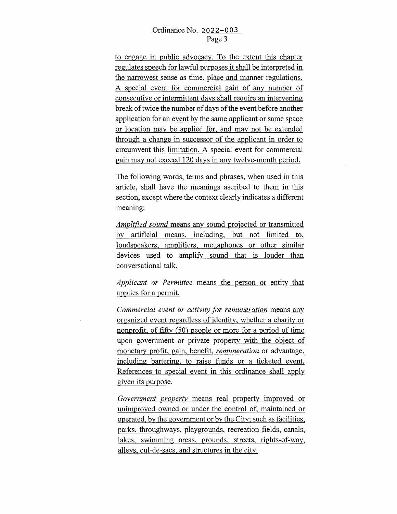to engage in public advocacy. To the extent this chapter regulates speech for lawful purposes it shall be interpreted in the narrowest sense as time, place and manner regulations. A special event for commercial gain of any number of consecutive or intermittent days shall require an intervening break of twice the number of days of the event before another application for an event by the same applicant or same space or location may be applied for, and may not be extended through a change in successor of the applicant in order to circumvent this limitation. A special event for commercial gain may not exceed 120 days in any twelve-month period.

The following words, terms and phrases, when used in this article, shall have the meanings ascribed to them in this section, except where the context clearly indicates a different meaning:

*Amplified sound* means any sound projected or transmitted by artificial means, including, but not limited to, loudspeakers, amplifiers, megaphones or other similar devices used to amplify sound that is louder than conversational talk.

*Applicant or Permittee* means the person or entity that applies for a permit.

*Commercial event or activity for remuneration* means any organized event regardless of identity, whether a charity or nonprofit, of fifty (50) people or more for a period of time upon government or private property with the object of monetary profit, gain, benefit, *remuneration* or advantage, including bartering, to raise funds or a ticketed event. References to special event in this ordinance shall apply given its purpose.

*Government property* means real property improved or unimproved owned or under the control of, maintained or operated, by the government or by the City; such as facilities, parks, throughways, playgrounds, recreation fields, canals, lakes, swimming areas, grounds, streets, rights-of-way, alleys, cul-de-sacs, and structures in the city.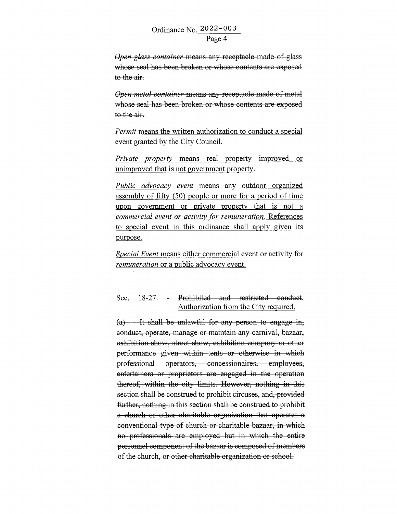*Open glass container* means any receptacle made of glass whose seal has been broken or whose contents are exposed to the air.

*Open metal container* means any receptacle made of metal whose seal has been broken or whose contents are exposed to the air.

*Permit* means the written authorization to conduct a special event granted by the City Council.

*Private property* means real property improved or unimproved that is not government property.

*Public advocacy event* means any outdoor organized assembly of fifty (50) people or more for a period of time upon government or private property that is not a *commercial event or activity for remuneration.* References to special event in this ordinance shall apply given its purpose.

*Special Event* means either commercial event or activity for *remuneration* or a public advocacy event.

## Sec. 18-27. - Prohibited and restricted conduct. Authorization from the City required.

 $(a)$  It shall be unlawful for any person to engage in, conduct, operate, manage or maintain any carnival, bazaar, exhibition show, street show, exhibition company or other performance given within tents or otherwise in which professional operators, concessionaires, employees, entertainers or proprietors are engaged in the operation thereof, within the city limits. However, nothing in this section shall be construed to prohibit circuses, and, provided further, nothing in this section shall be construed to prohibit a church or other charitable organization that operates a conventional type of church or charitable bazaar, in which no professionals are employed but in which the entire personnel component of the bazaar is composed of members of the church, or other charitable organization or school.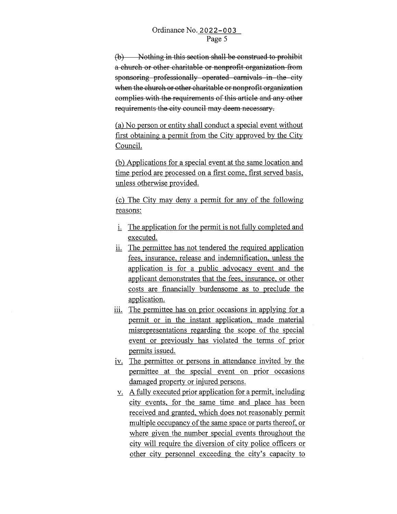(b) Nothing in this section shall be construed to prohibit a church or other charitable or nonprofit organization from sponsoring professionally operated carnivals in the city when the church or other charitable or nonprofit organization complies with the requirements of this article and any other requirements the city council may deem necessary.

(a) No person or entity shall conduct a special event without first obtaining a permit from the City approved by the City Council.

(b) Applications for a special event at the same location and time period are processed on a first come, first served basis, unless otherwise provided.

(c) The City may deny a permit for any of the following reasons:

- i. The application for the permit is not fully completed and executed.
- ii. The permittee has not tendered the required application fees, insurance, release and indemnification, unless the application is for a public advocacy event and the applicant demonstrates that the fees, insurance, or other costs are financially burdensome as to preclude the application.
- iii. The permittee has on prior occasions in applying for a permit or in the instant application, made material misrepresentations regarding the scope of the special event or previously has violated the terms of prior permits issued.
- iv. The permittee or persons in attendance invited by the permittee at the special event on prior occasions damaged property or injured persons.
- v. A fully executed prior application for a permit, including city events, for the same time and place has been received and granted, which does not reasonably permit multiple occupancy of the same space or parts thereof, or where given the number special events throughout the city will require the diversion of city police officers or other city personnel exceeding the city's capacity to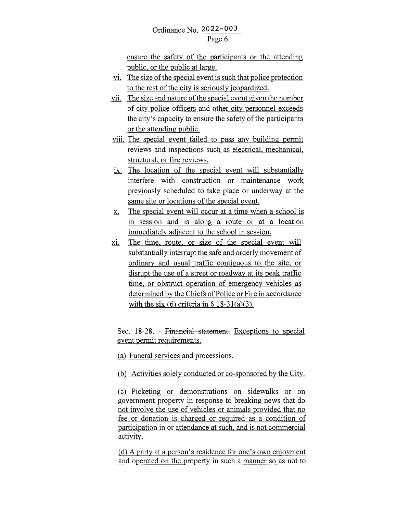ensure the safety of the participants or the attending public, or the public at large.

- VI. The size of the special event is such that police protection to the rest of the city is seriously jeopardized.
- vii. The size and nature of the special event given the number of city police officers and other city personnel exceeds the city's capacity to ensure the safety of the participants or the attending public.
- viii. The special event failed to pass any building permit reviews and inspections such as electrical, mechanical, structural, or fire reviews.
- ix. The location of the special event will substantially interfere with construction or maintenance work previously scheduled to take place or underway at the same site or locations of the special event.
- x. The special event will occur at a time when a school is in session and is along a route or at a location immediately adjacent to the school in session.
- xi. The time, route, or size of the special event will substantially interrupt the safe and orderly movement of ordinary and usual traffic contiguous to the site, or disrupt the use of a street or roadway at its peak traffic time, or obstruct operation of emergency vehicles as determined by the Chiefs of Police or Fire in accordance with the six (6) criteria in  $\S$  18-31(a)(3).

Sec. 18-28. - Financial statement. Exceptions to special event permit requirements .

(a) Funeral services and processions.

(b) Activities solely conducted or co-sponsored by the City.

® Picketing or demonstrations on sidewalks or on government property in response to breaking news that do not involve the use of vehicles or animals provided that no fee or donation is charged or required as a condition of participation in or attendance at such, and is not commercial activity.

(d) A party at a person's residence for one's own enjoyment and operated on the property in such a manner so as not to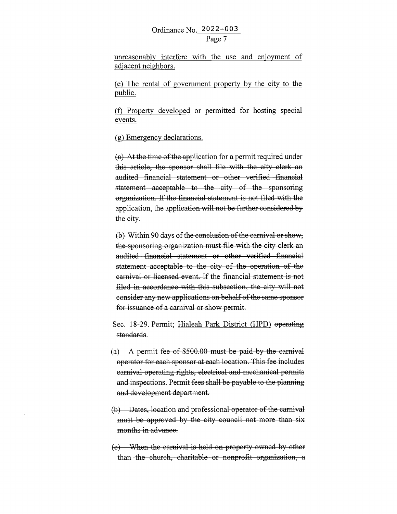unreasonably interfere with the use and enjoyment of adjacent neighbors.

(e) The rental of government property by the city to the public.

(f) Property developed or permitted for hosting special events.

(g) Emergency declarations.

(a) At the time of the application for a permit required under this article, the sponsor shall file with the city clerk an audited financial statement or other verified financial statement acceptable to the city of the sponsoring organization. If the financial statement is not filed with the application, the application will not be further considered by the city.

(b) Within 90 days of the conclusion of the carnival or show, the sponsoring organization must file with the city clerk an audited financial statement or other verified financial statement acceptable to the city of the operation of the carnival or licensed event. If the financial statement is not filed in accordance with this subsection, the city will not consider any new applications on behalf of the same sponsor for issuance of a carnival or show permit.

Sec. 18-29. Permit; Hialeah Park District (HPD) operating standards.

- (a) A permit fee of \$500.00 must be paid by the carnival operator for each sponsor at each location. This fee includes carnival operating rights, electrical and mechanical permits and inspections. Permit fees shall be payable to the planning and development department.
- (b) Dates, location and professional operator of the carnival must be approved by the city council not more than six months in advance.
- (c) When the carnival is held on property ovmed by other than the church, charitable or nonprofit organization, a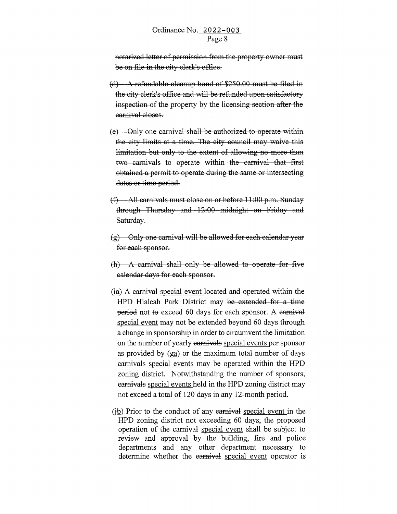notarized letter of permission from the property ovmer must be on file in the city clerk's office.

- (d) A. refundable cleanup bond of \$250.00 must be filed in the city clerk's office and will be refunded upon satisfactory inspection of the property by the licensing section after the carnival closes.
- (e) Only one carnival shall be authorized to operate within the city limits at a time. The city council may waive this limitation but only to the extent of allowing no more than two carnivals to operate within the carnival that first obtained a permit to operate during the same or intersecting dates or time period.
- (f) All carnivals must close on or before 11 :00 p.m. Sunday through Thursday and 12:00 midnight on Friday and Saturday.
- (g) Only one carnival will be allowed for each calendar year for each sponsor.
- $(h)$  A carnival shall only be allowed to operate for five calendar days for each sponsor.
- (ia) A carnival special event located and operated within the HPD Hialeah Park District may be extended for a time period not to exceed 60 days for each sponsor. A carnival special event may not be extended beyond 60 days through a change in sponsorship in order to circumvent the limitation on the number of yearly earnivals special events per sponsor as provided by  $(g_{a})$  or the maximum total number of days carnivals special events may be operated within the HPD zoning district. Notwithstanding the number of sponsors, carnivals special events held in the HPD zoning district may not exceed a total of 120 days in any 12-month period.
- $F$ (ib) Prior to the conduct of any earnival special event in the HPD zoning district not exceeding 60 days, the proposed operation of the carnival special event shall be subject to review and approval by the building, fire and police departments and any other department necessary to determine whether the earnival special event operator is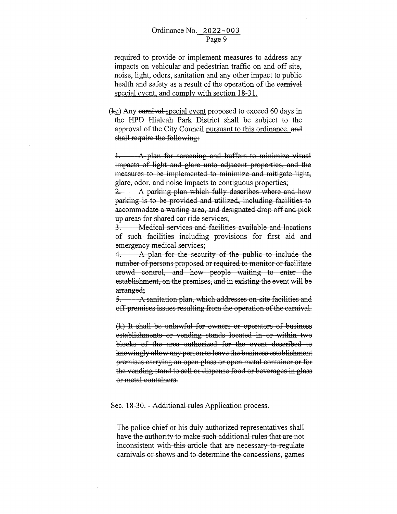required to provide or implement measures to address any impacts on vehicular and pedestrian traffic on and off site, noise, light, odors, sanitation and any other impact to public health and safety as a result of the operation of the earnival special event, and comply with section 18-31.

 $(kc)$  Any carnival special event proposed to exceed 60 days in the HPD Hialeah Park District shall be subject to the approval of the City Council pursuant to this ordinance. and shall require the following:

1. A plan for screening and buffers to minimize visual impacts of light and glare unto adjacent properties, and the measures to be implemented to minimize and mitigate light, glare, odor, and noise impacts to contiguous properties;

2. A parking plan which fully describes where and how parking is to be provided and utilized, including facilities to accommodate a waiting area, and designated drop off and pick up areas for shared car ride services;

3. Medical services and facilities available and locations of such facilities including provisions for first aid and emergency medical services;

4. A plan for the security of the public to include the number of persons proposed or required to monitor or facilitate crowd control, and how people waiting to enter the establishment, on the premises, and in existing the event will be arranged;

5.  $\longrightarrow$  A sanitation plan, which addresses on-site facilities and off premises issues resulting from the operation of the carnival.

 $(k)$  It shall be unlawful for owners or operators of business establishments or vending stands located in or within two blocks of the area authorized for the event described to knowingly allow any person to leave the business establishment premises carrying an open glass or open metal container or for the vending stand to sell or dispense food or beverages in glass or metal containers.

#### Sec. 18-30. - Additional rules Application process.

The police chief or his duly authorized representatives shall have the authority to make such additional rules that are not inconsistent with this article that are necessary to regulate earnivals or shows and to determine the concessions, games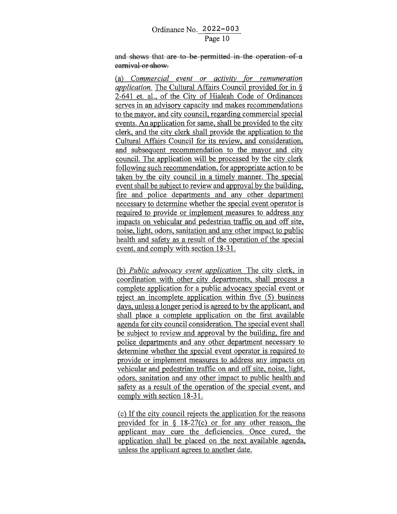and shows that are to be permitted in the operation of a carnival or show.

(a) *Commercial event or activity for remuneration application.* The Cultural Affairs Council provided for in § 2-641 et. al., of the City of Hialeah Code of Ordinances serves in an advisory capacity and makes recommendations to the mayor, and city council, regarding commercial special events. An application for same, shall be provided to the city clerk, and the city clerk shall provide the application to the Cultural Affairs Council for its review, and consideration, and subsequent recommendation to the mayor and city council. The application will be processed by the city clerk following such recommendation, for appropriate action to be taken by the city council in a timely manner. The special event shall be subject to review and approval by the building, fire and police departments and any other department necessary to determine whether the special event operator is required to provide or implement measures to address any impacts on vehicular and pedestrian traffic on and off site, noise, light, odors, sanitation and any other impact to public health and safety as a result of the operation of the special event, and comply with section 18-31.

(b) *Public advocacy event application.* The city clerk, in coordination with other city departments, shall process a complete application for a public advocacy special event or reject an incomplete application within five (5) business days, unless a longer period is agreed to by the applicant, and shall place a complete application on the first available agenda for city council consideration. The special event shall be subject to review and approval by the building, fire and police departments and any other department necessary to determine whether the special event operator is required to provide or implement measures to address any impacts on vehicular and pedestrian traffic on and off site, noise, light, odors, sanitation and any other impact to public health and safety as a result of the operation of the special event, and comply with section 18-31.

( c) If the city council rejects the application for the reasons provided for in § 18-27(c) or for any other reason, the applicant may cure the deficiencies. Once cured, the application shall be placed on the next available agenda, unless the applicant agrees to another date.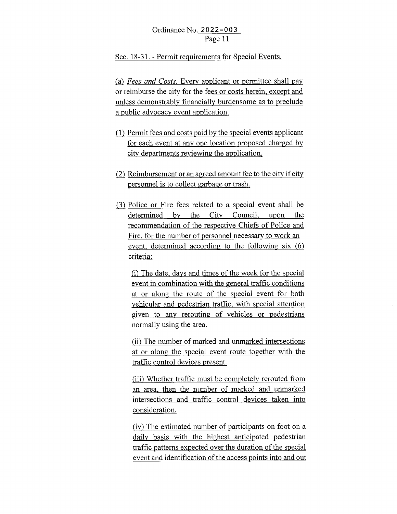Sec. 18-31. - Permit requirements for Special Events.

(a) *Fees and Costs.* Every applicant or permittee shall pay or reimburse the city for the fees or costs herein, except and unless demonstrably financially burdensome as to preclude a public advocacy event application.

- $(1)$  Permit fees and costs paid by the special events applicant for each event at any one location proposed charged by city departments reviewing the application.
- $(2)$  Reimbursement or an agreed amount fee to the city if city personnel is to collect garbage or trash.
- $(3)$  Police or Fire fees related to a special event shall be determined by the City Council, upon the recommendation of the respective Chiefs of Police and Fire, for the number of personnel necessary to work an event, determined according to the following six  $(6)$ criteria:

(i) The date, days and times of the week for the special event in combination with the general traffic conditions at or along the route of the special event for both vehicular and pedestrian traffic, with special attention given to any rerouting of vehicles or pedestrians normally using the area.

(ii) The number of marked and unmarked intersections at or along the special event route together with the traffic control devices present.

(iii) Whether traffic must be completely rerouted from an area, then the number of marked and unmarked intersections and traffic control devices taken into consideration.

(iv) The estimated number of participants on foot on a daily basis with the highest anticipated pedestrian traffic patterns expected over the duration of the special event and identification of the access points into and out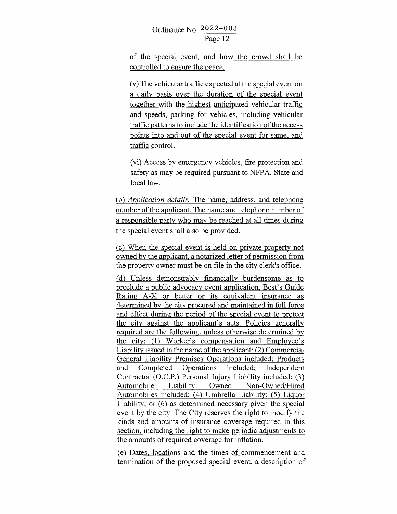of the special event, and how the crowd shall be controlled to ensure the peace.

(v) The vehicular traffic expected at the special event on a daily basis over the duration of the special event together with the highest anticipated vehicular traffic and speeds, parking for vehicles, including vehicular traffic patterns to include the identification of the access points into and out of the special event for same, and traffic control.

(vi) Access by emergency vehicles, fire protection and safety as may be required pursuant to NFPA, State and local law.

(b) *Application details.* The name, address, and telephone number of the applicant. The name and telephone number of a responsible party who may be reached at all times during the special event shall also be provided.

( c) When the special event is held on private property not owned by the applicant, a notarized letter of permission from the property owner must be on file in the city clerk's office.

(d) Unless demonstrably financially burdensome as to preclude a public advocacy event application, Best's Guide Rating A-X or better or its equivalent insurance as determined by the city procured and maintained in full force and effect during the period of the special event to protect the city against the applicant's acts. Policies generally required are the following, unless otherwise determined by the city: (1) Worker's compensation and Employee's Liability issued in the name of the applicant; (2) Commercial General Liability Premises Operations included; Products and Completed Operations included; Independent Contractor (O.C.P,) Personal Injury Liability included; (3) Automobile Liability Owned Non-Owned/Hired Automobiles included; (4) Umbrella Liability; (5) Liquor Liability; or (6) as determined necessary given the special event by the city. The City reserves the right to modify the kinds and amounts of insurance coverage required in this section, including the right to make periodic adjustments to the amounts of required coverage for inflation.

(e) Dates, locations and the times of commencement and termination of the proposed special event, a description of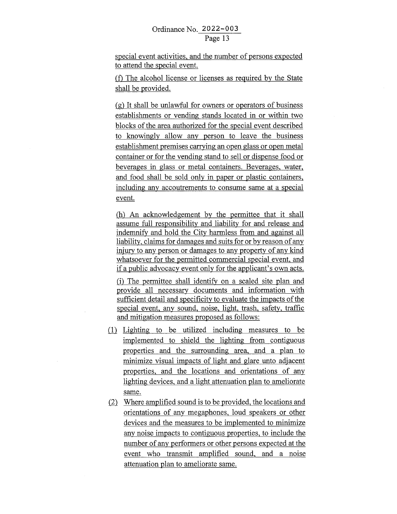special event activities, and the number of persons expected to attend the special event.

(f) The alcohol license or licenses as required by the State shall be provided.

(g) It shall be unlawful for owners or operators of business establishments or vending stands located in or within two blocks of the area authorized for the special event described to knowingly allow any person to leave the business establishment premises carrying an open glass or open metal container or for the vending stand to sell or dispense food or beverages in glass or metal containers. Beverages, water, and food shall be sold only in paper or plastic containers, including any accoutrements to consume same at a special event.

(h) An acknowledgement by the permittee that it shall assume full responsibility and liability for and release and indemnify and hold the City harmless from and against all liability, claims for damages and suits for or by reason of any injury to any person or damages to any property of any kind whatsoever for the permitted commercial special event, and if a public advocacy event only for the applicant's own acts.

(i) The permittee shall identify on a scaled site plan and provide all necessary documents and information with sufficient detail and specificity to evaluate the impacts of the special event, any sound, noise, light, trash, safety, traffic and mitigation measures proposed as follows:

- $(1)$  Lighting to be utilized including measures to be implemented to shield the lighting from contiguous properties and the surrounding area, and a plan to minimize visual impacts of light and glare unto adjacent properties, and the locations and orientations of any lighting devices, and a light attenuation plan to ameliorate same.
- $\lambda$  Where amplified sound is to be provided, the locations and orientations of any megaphones, loud speakers or other devices and the measures to be implemented to minimize any noise impacts to contiguous properties, to include the number of any performers or other persons expected at the event who transmit amplified sound, and a noise attenuation plan to ameliorate same.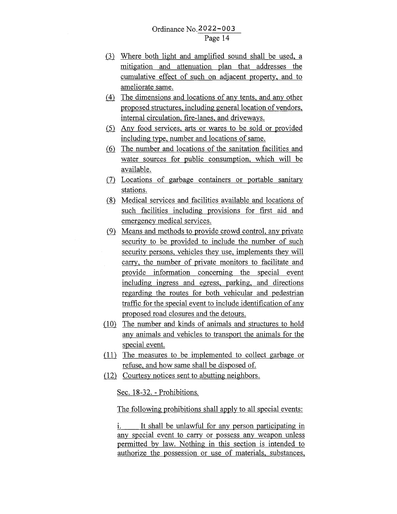- (3) Where both light and amplified sound shall be used, a mitigation and attenuation plan that addresses the cumulative effect of such on adjacent property, and to ameliorate same.
- $(4)$  The dimensions and locations of any tents, and any other proposed structures, including general location of vendors, internal circulation, fire-lanes, and driveways.
- $(5)$  Any food services, arts or wares to be sold or provided including type, number and locations of same.
- (6) The number and locations of the sanitation facilities and water sources for public consumption, which will be available.
- (7) Locations of garbage containers or portable sanitary stations.
- (8) Medical services and facilities available and locations of such facilities including provisions for first aid and emergency medical services .
- .(22 Means and methods to provide crowd control, any private security to be provided to include the number of such security persons, vehicles they use, implements they will carry, the number of private monitors to facilitate and provide information concerning the special event including ingress and egress, parking, and directions regarding the routes for both vehicular and pedestrian traffic for the special event to include identification of any proposed road closures and the detours.
- $(10)$  The number and kinds of animals and structures to hold any animals and vehicles to transport the animals for the special event.
- $(11)$  The measures to be implemented to collect garbage or refuse, and how same shall be disposed of.
- .(12)\_ Courtesy notices sent to abutting neighbors.

Sec. 18-32. - Prohibitions.

The following prohibitions shall apply to all special events:

i. It shall be unlawful for any person participating in any special event to carry or possess any weapon unless permitted by law. Nothing in this section is intended to authorize the possession or use of materials, substances,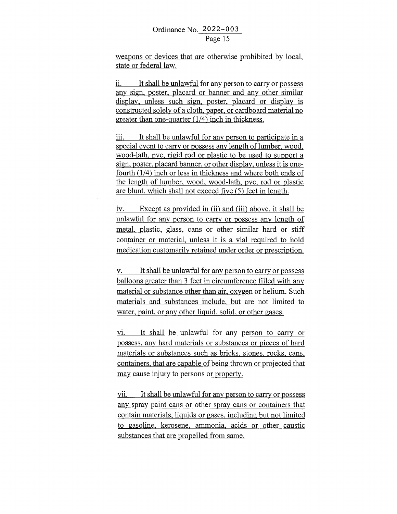weapons or devices that are otherwise prohibited by local, state or federal law.

ii. It shall be unlawful for any person to carry or possess any sign, poster, placard or banner and any other similar display, unless such sign, poster, placard or display is constructed solely of a cloth, paper, or cardboard material no greater than one-quarter (1/4) inch in thickness.

iii. It shall be unlawful for any person to participate in a special event to carry or possess any length of lumber, wood, wood-lath, pvc, rigid rod or plastic to be used to support a sign, poster, placard banner, or other display, unless it is onefourth (1/4) inch or less in thickness and where both ends of the length of lumber, wood, wood-lath, pvc, rod or plastic are blunt, which shall not exceed five (5) feet in length.

iv. Except as provided in (ii) and (iii) above, it shall be unlawful for any person to carry or possess any length of metal, plastic, glass, cans or other similar hard or stiff container or material, unless it is a vial required to hold medication customarily retained under order or prescription.

v. It shall be unlawful for any person to carry or possess balloons greater than 3 feet in circumference filled with any material or substance other than air, oxygen or helium. Such materials and substances include, but are not limited to water, paint, or any other liquid, solid, or other gases.

vi. It shall be unlawful for any person to carry or possess, any hard materials or substances or pieces of hard materials or substances such as bricks, stones, rocks, cans, containers, that are capable of being thrown or projected that may cause injury to persons or property.

vii. It shall be unlawful for any person to carry or possess any spray paint cans or other spray cans or containers that contain materials, liquids or gases, including but not limited to gasoline, kerosene, ammonia, acids or other caustic substances that are propelled from same.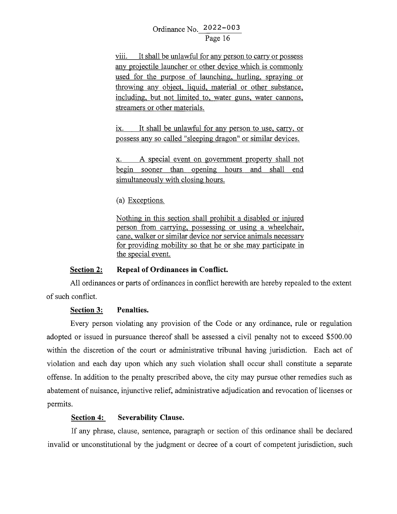viii. It shall be unlawful for any person to carry or possess any projectile launcher or other device which is commonly used for the purpose of launching, hurling, spraying or throwing any object, liquid, material or other substance, including, but not limited to, water guns, water cannons, streamers or other materials.

ix. It shall be unlawful for any person to use, carry, or possess any so called "sleeping dragon" or similar devices.

x. A special event on government property shall not begin sooner than opening hours and shall end simultaneously with closing hours.

(a) Exceptions.

Nothing in this section shall prohibit a disabled or injured person from carrying, possessing or using a wheelchair, cane, walker or similar device nor service animals necessary for providing mobility so that he or she may participate in the special event.

#### **Section 2: Repeal of Ordinances in Conflict.**

All ordinances or parts of ordinances in conflict herewith are hereby repealed to the extent of such conflict.

## **Section 3: Penalties.**

Every person violating any provision of the Code or any ordinance, rule or regulation adopted or issued in pursuance thereof shall be assessed a civil penalty not to exceed \$500.00 within the discretion of the court or administrative tribunal having jurisdiction. Each act of violation and each day upon which any such violation shall occur shall constitute a separate offense. In addition to the penalty prescribed above, the city may pursue other remedies such as abatement of nuisance, injunctive relief, administrative adjudication and revocation of licenses or permits.

## **Section 4: Severability Clause.**

If any phrase, clause, sentence, paragraph or section of this ordinance shall be declared invalid or unconstitutional by the judgment or decree of a court of competent jurisdiction, such